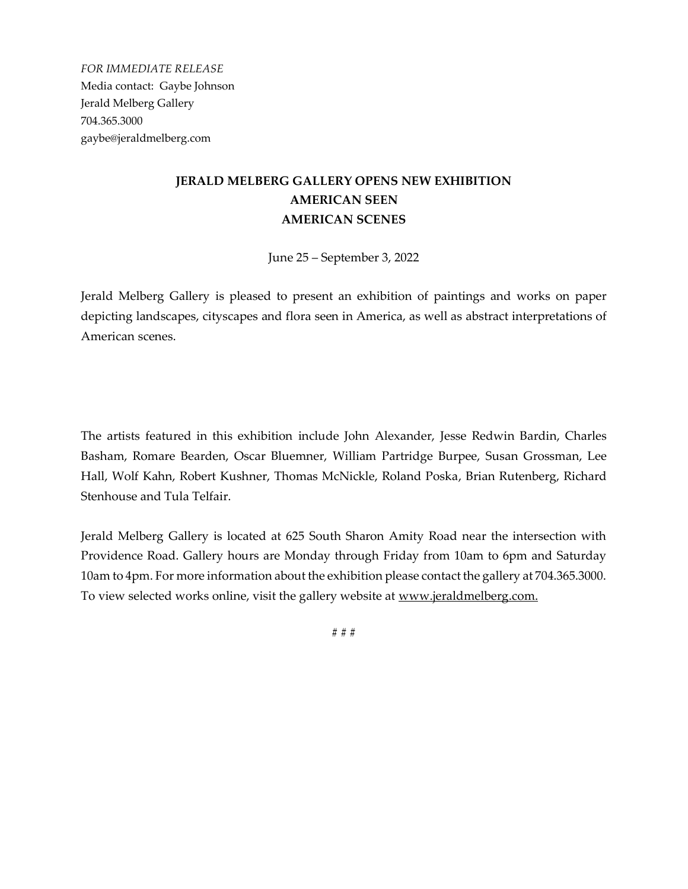*FOR IMMEDIATE RELEASE* Media contact: Gaybe Johnson Jerald Melberg Gallery 704.365.3000 gaybe@jeraldmelberg.com

## **JERALD MELBERG GALLERY OPENS NEW EXHIBITION AMERICAN SEEN AMERICAN SCENES**

June 25 – September 3, 2022

Jerald Melberg Gallery is pleased to present an exhibition of paintings and works on paper depicting landscapes, cityscapes and flora seen in America, as well as abstract interpretations of American scenes.

The artists featured in this exhibition include John Alexander, Jesse Redwin Bardin, Charles Basham, Romare Bearden, Oscar Bluemner, William Partridge Burpee, Susan Grossman, Lee Hall, Wolf Kahn, Robert Kushner, Thomas McNickle, Roland Poska, Brian Rutenberg, Richard Stenhouse and Tula Telfair.

Jerald Melberg Gallery is located at 625 South Sharon Amity Road near the intersection with Providence Road. Gallery hours are Monday through Friday from 10am to 6pm and Saturday 10am to 4pm. For more information about the exhibition please contact the gallery at 704.365.3000. To view selected works online, visit the gallery website at www.jeraldmelberg.com.

# # #